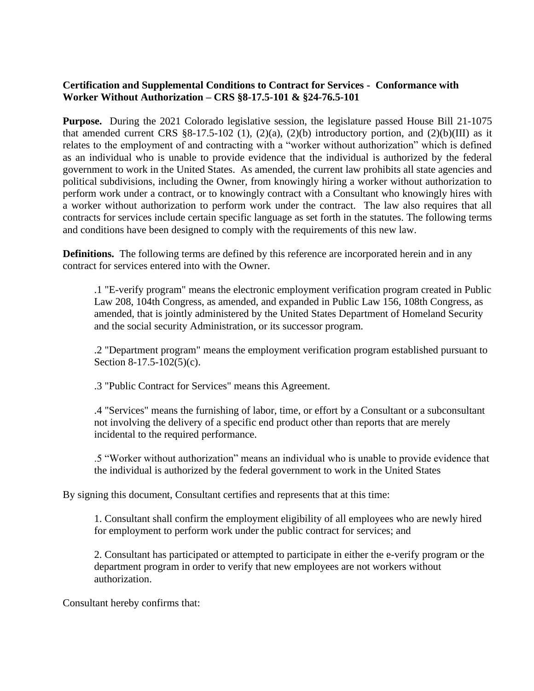## **Certification and Supplemental Conditions to Contract for Services - Conformance with Worker Without Authorization – CRS §8-17.5-101 & §24-76.5-101**

**Purpose.** During the 2021 Colorado legislative session, the legislature passed House Bill 21-1075 that amended current CRS  $\S 8-17.5-102$  (1), (2)(a), (2)(b) introductory portion, and (2)(b)(III) as it relates to the employment of and contracting with a "worker without authorization" which is defined as an individual who is unable to provide evidence that the individual is authorized by the federal government to work in the United States. As amended, the current law prohibits all state agencies and political subdivisions, including the Owner, from knowingly hiring a worker without authorization to perform work under a contract, or to knowingly contract with a Consultant who knowingly hires with a worker without authorization to perform work under the contract. The law also requires that all contracts for services include certain specific language as set forth in the statutes. The following terms and conditions have been designed to comply with the requirements of this new law.

**Definitions.** The following terms are defined by this reference are incorporated herein and in any contract for services entered into with the Owner.

.1 "E-verify program" means the electronic employment verification program created in Public Law 208, 104th Congress, as amended, and expanded in Public Law 156, 108th Congress, as amended, that is jointly administered by the United States Department of Homeland Security and the social security Administration, or its successor program.

.2 "Department program" means the employment verification program established pursuant to Section 8-17.5-102(5)(c).

.3 "Public Contract for Services" means this Agreement.

.4 "Services" means the furnishing of labor, time, or effort by a Consultant or a subconsultant not involving the delivery of a specific end product other than reports that are merely incidental to the required performance.

.5 "Worker without authorization" means an individual who is unable to provide evidence that the individual is authorized by the federal government to work in the United States

By signing this document, Consultant certifies and represents that at this time:

1. Consultant shall confirm the employment eligibility of all employees who are newly hired for employment to perform work under the public contract for services; and

2. Consultant has participated or attempted to participate in either the e-verify program or the department program in order to verify that new employees are not workers without authorization.

Consultant hereby confirms that: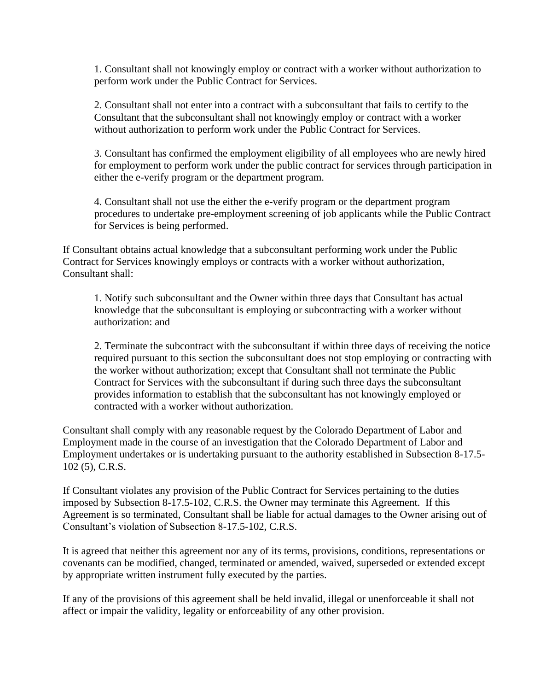1. Consultant shall not knowingly employ or contract with a worker without authorization to perform work under the Public Contract for Services.

2. Consultant shall not enter into a contract with a subconsultant that fails to certify to the Consultant that the subconsultant shall not knowingly employ or contract with a worker without authorization to perform work under the Public Contract for Services.

3. Consultant has confirmed the employment eligibility of all employees who are newly hired for employment to perform work under the public contract for services through participation in either the e-verify program or the department program.

4. Consultant shall not use the either the e-verify program or the department program procedures to undertake pre-employment screening of job applicants while the Public Contract for Services is being performed.

If Consultant obtains actual knowledge that a subconsultant performing work under the Public Contract for Services knowingly employs or contracts with a worker without authorization, Consultant shall:

1. Notify such subconsultant and the Owner within three days that Consultant has actual knowledge that the subconsultant is employing or subcontracting with a worker without authorization: and

2. Terminate the subcontract with the subconsultant if within three days of receiving the notice required pursuant to this section the subconsultant does not stop employing or contracting with the worker without authorization; except that Consultant shall not terminate the Public Contract for Services with the subconsultant if during such three days the subconsultant provides information to establish that the subconsultant has not knowingly employed or contracted with a worker without authorization.

Consultant shall comply with any reasonable request by the Colorado Department of Labor and Employment made in the course of an investigation that the Colorado Department of Labor and Employment undertakes or is undertaking pursuant to the authority established in Subsection 8-17.5- 102 (5), C.R.S.

If Consultant violates any provision of the Public Contract for Services pertaining to the duties imposed by Subsection 8-17.5-102, C.R.S. the Owner may terminate this Agreement. If this Agreement is so terminated, Consultant shall be liable for actual damages to the Owner arising out of Consultant's violation of Subsection 8-17.5-102, C.R.S.

It is agreed that neither this agreement nor any of its terms, provisions, conditions, representations or covenants can be modified, changed, terminated or amended, waived, superseded or extended except by appropriate written instrument fully executed by the parties.

If any of the provisions of this agreement shall be held invalid, illegal or unenforceable it shall not affect or impair the validity, legality or enforceability of any other provision.